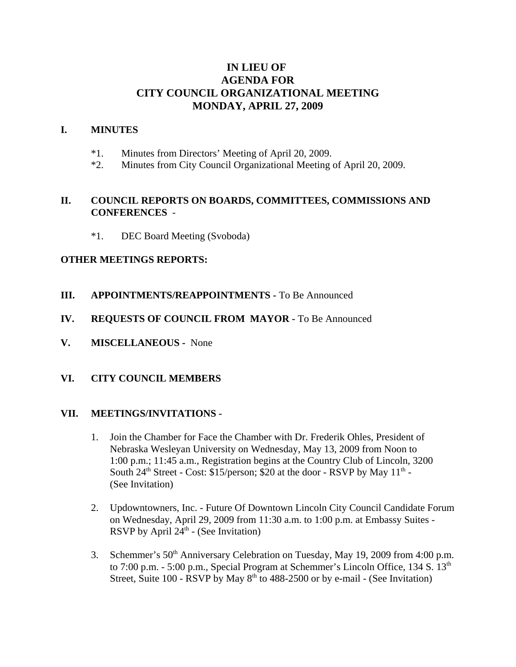# **IN LIEU OF AGENDA FOR CITY COUNCIL ORGANIZATIONAL MEETING MONDAY, APRIL 27, 2009**

#### **I. MINUTES**

- \*1. Minutes from Directors' Meeting of April 20, 2009.
- \*2. Minutes from City Council Organizational Meeting of April 20, 2009.

### **II. COUNCIL REPORTS ON BOARDS, COMMITTEES, COMMISSIONS AND CONFERENCES** -

\*1. DEC Board Meeting (Svoboda)

#### **OTHER MEETINGS REPORTS:**

- **III. APPOINTMENTS/REAPPOINTMENTS -** To Be Announced
- **IV. REQUESTS OF COUNCIL FROM MAYOR -** To Be Announced
- **V. MISCELLANEOUS -** None

### **VI. CITY COUNCIL MEMBERS**

#### **VII. MEETINGS/INVITATIONS -**

- 1. Join the Chamber for Face the Chamber with Dr. Frederik Ohles, President of Nebraska Wesleyan University on Wednesday, May 13, 2009 from Noon to 1:00 p.m.; 11:45 a.m., Registration begins at the Country Club of Lincoln, 3200 South  $24<sup>th</sup> Street - Cost$ : \$15/person; \$20 at the door - RSVP by May  $11<sup>th</sup>$  -(See Invitation)
- 2. Updowntowners, Inc. Future Of Downtown Lincoln City Council Candidate Forum on Wednesday, April 29, 2009 from 11:30 a.m. to 1:00 p.m. at Embassy Suites - RSVP by April  $24^{\text{th}}$  - (See Invitation)
- 3. Schemmer's 50<sup>th</sup> Anniversary Celebration on Tuesday, May 19, 2009 from 4:00 p.m. to 7:00 p.m. - 5:00 p.m., Special Program at Schemmer's Lincoln Office, 134 S. 13<sup>th</sup> Street, Suite 100 - RSVP by May  $8<sup>th</sup>$  to 488-2500 or by e-mail - (See Invitation)